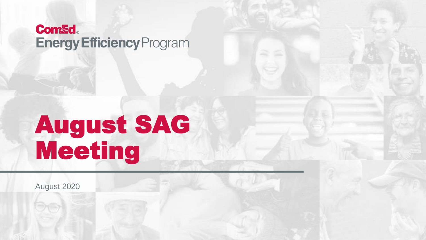#### **Com&d Energy Efficiency Program**

### August SAG Meeting

August 2020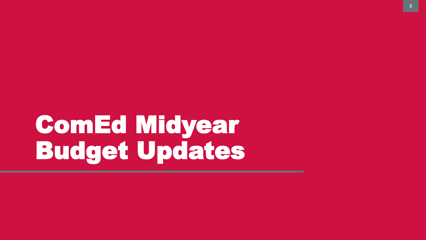# ComEd Midyear Budget Updates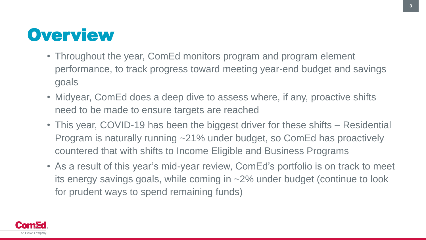#### **Overview**

- Throughout the year, ComEd monitors program and program element performance, to track progress toward meeting year-end budget and savings goals
- Midyear, ComEd does a deep dive to assess where, if any, proactive shifts need to be made to ensure targets are reached
- This year, COVID-19 has been the biggest driver for these shifts Residential Program is naturally running ~21% under budget, so ComEd has proactively countered that with shifts to Income Eligible and Business Programs
- As a result of this year's mid-year review, ComEd's portfolio is on track to meet its energy savings goals, while coming in ~2% under budget (continue to look for prudent ways to spend remaining funds)

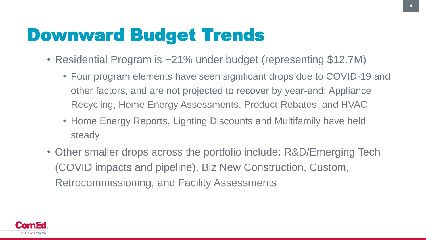### Downward Budget Trends

- Residential Program is ~21% under budget (representing \$12.7M)
	- Four program elements have seen significant drops due to COVID-19 and other factors, and are not projected to recover by year-end: Appliance Recycling, Home Energy Assessments, Product Rebates, and HVAC
	- Home Energy Reports, Lighting Discounts and Multifamily have held steady
- Other smaller drops across the portfolio include: R&D/Emerging Tech (COVID impacts and pipeline), Biz New Construction, Custom, Retrocommissioning, and Facility Assessments

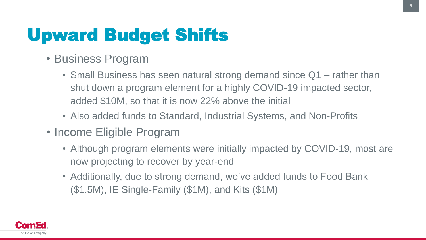### Upward Budget Shifts

- Business Program
	- Small Business has seen natural strong demand since Q1 rather than shut down a program element for a highly COVID-19 impacted sector, added \$10M, so that it is now 22% above the initial
	- Also added funds to Standard, Industrial Systems, and Non-Profits
- Income Eligible Program
	- Although program elements were initially impacted by COVID-19, most are now projecting to recover by year-end
	- Additionally, due to strong demand, we've added funds to Food Bank (\$1.5M), IE Single-Family (\$1M), and Kits (\$1M)

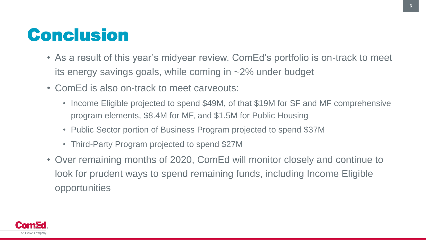#### **Conclusion**

- As a result of this year's midyear review, ComEd's portfolio is on-track to meet its energy savings goals, while coming in ~2% under budget
- ComEd is also on-track to meet carveouts:
	- Income Eligible projected to spend \$49M, of that \$19M for SF and MF comprehensive program elements, \$8.4M for MF, and \$1.5M for Public Housing
	- Public Sector portion of Business Program projected to spend \$37M
	- Third-Party Program projected to spend \$27M
- Over remaining months of 2020, ComEd will monitor closely and continue to look for prudent ways to spend remaining funds, including Income Eligible opportunities

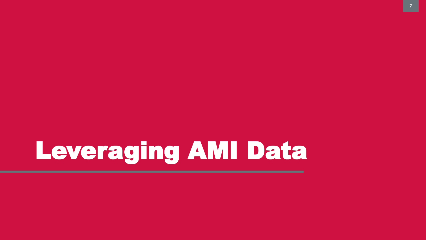## Leveraging AMI Data